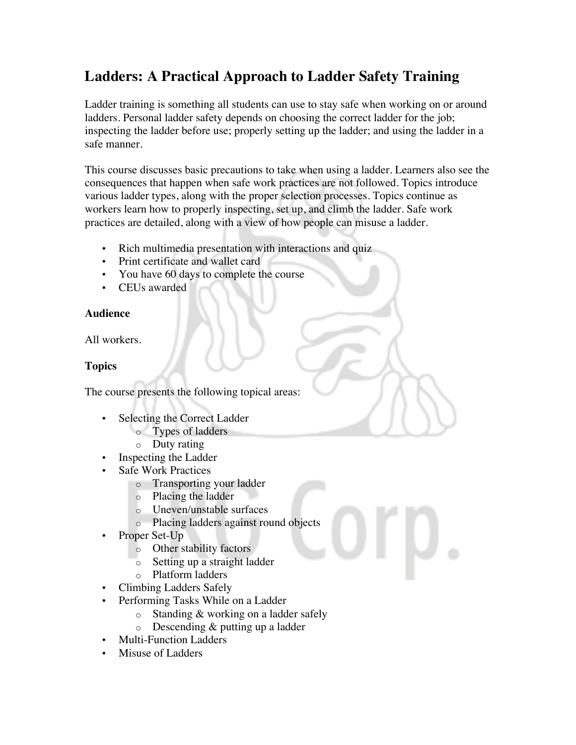# **Ladders: A Practical Approach to Ladder Safety Training**

Ladder training is something all students can use to stay safe when working on or around ladders. Personal ladder safety depends on choosing the correct ladder for the job; inspecting the ladder before use; properly setting up the ladder; and using the ladder in a safe manner.

This course discusses basic precautions to take when using a ladder. Learners also see the consequences that happen when safe work practices are not followed. Topics introduce various ladder types, along with the proper selection processes. Topics continue as workers learn how to properly inspecting, set up, and climb the ladder. Safe work practices are detailed, along with a view of how people can misuse a ladder.

- Rich multimedia presentation with interactions and quiz
- Print certificate and wallet card
- You have 60 days to complete the course
- CEUs awarded

### **Audience**

All workers.

### **Topics**

The course presents the following topical areas:

- Selecting the Correct Ladder
	- o Types of ladders
		- o Duty rating
- Inspecting the Ladder
- Safe Work Practices
	- o Transporting your ladder
	- o Placing the ladder
	- o Uneven/unstable surfaces
	- o Placing ladders against round objects
- Proper Set-Up
	- o Other stability factors
	- o Setting up a straight ladder
	- o Platform ladders
- Climbing Ladders Safely
- Performing Tasks While on a Ladder
	- o Standing & working on a ladder safely
	- o Descending & putting up a ladder
- Multi-Function Ladders
- Misuse of Ladders